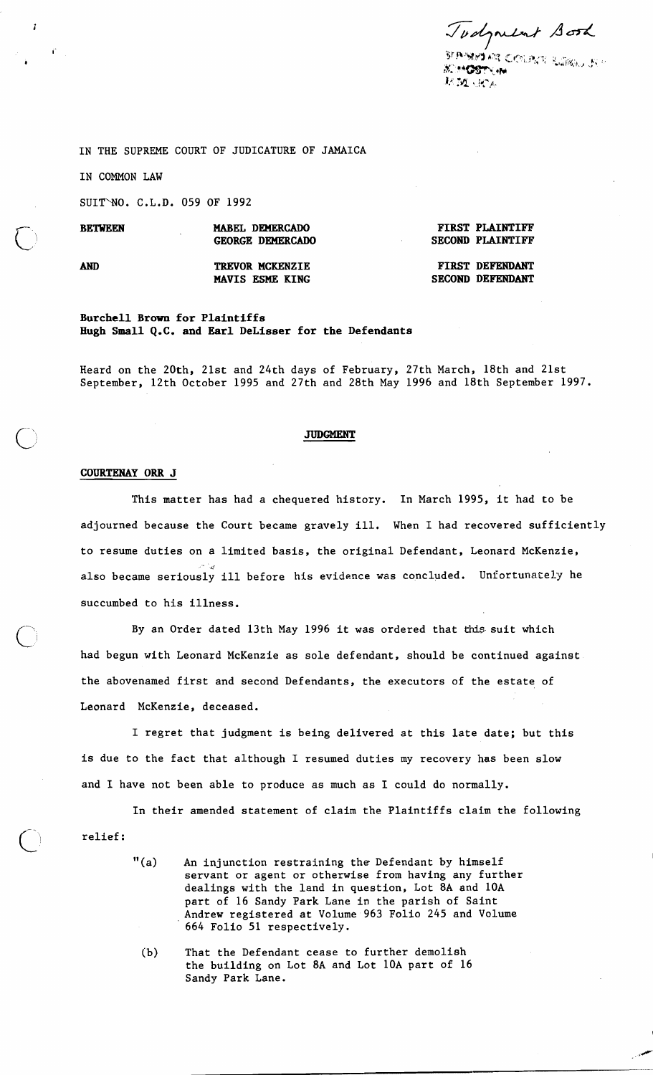Todynent Sora

**SEP-YEBY ARE CACOUPANY RADBING US !!**<br>METHODOLOGIE **ACTMOSTRAN** 起斑 近人

IN THE SUPREME COURT OF JUDICATURE OF JAMAICA

IN COMMON LAW

SUITWO. C.L.D. 059 OF 1992

| $\sqrt{}$ | <b>BETWEEN</b> | MABEL DEMERCADO<br><b>GEORGE DEMERCADO</b> | <b>FIRST PLAINTIFF</b><br><b>SECOND PLAINTIFF</b> |  |
|-----------|----------------|--------------------------------------------|---------------------------------------------------|--|
|           | AND            | TREVOR MCKENZIE<br>MAVIS ESME KING         | FIRST DEFENDANT<br><b>SECOND DEFENDANT</b>        |  |

#### **Burchell Brown for Plaintiffs Hugh Small Q.C. and Earl DeLisser for the Defendants**

Heard on the 20th, 21st and 24th days of February, 27th March, 18th and 21st September, 12th October 1995 and 27th and 28th May 1996 and 18th September 1997.

### **JUDGMENT**

#### **COURTENAY ORR J**

This matter has had a chequered history. In March 1995, it had to be adjourned because the Court became gravely ill. When I had recovered sufficiently to resume duties on a limited basis, the original Defendant, Leonard McKenzie, also became seriously ill before his evidence was concluded. Unfortunately he succumbed to his illness.

By an Order dated 13th May 1996 it was ordered that this suit which had begun with Leonard McKenzie as sole defendant, should be continued against the abovenamed first and second Defendants, the executors of the estate of Leonard McKenzie, deceased.

I regret that judgment is being delivered at this late date; but this is due to the fact that although I resumed duties my recovery has been slow and I have not been able to produce as much as I could do normally.

In their amended statement of claim the Plaintiffs claim the following<br>relief:

- "(a) An injunction restraining the Defendant by himself servant or agent or otherwise from having any further dealings with the land in question, Lot 8A and 10A part of 16 Sandy Park Lane in the parish of Saint Andrew registered at Volume 963 Folio 245 and Volume 664 Folio 51 respectively.
	- (b) That the Defendant cease to further demolish the building on Lot 8A and Lot 10A part of 16 Sandy Park Lane.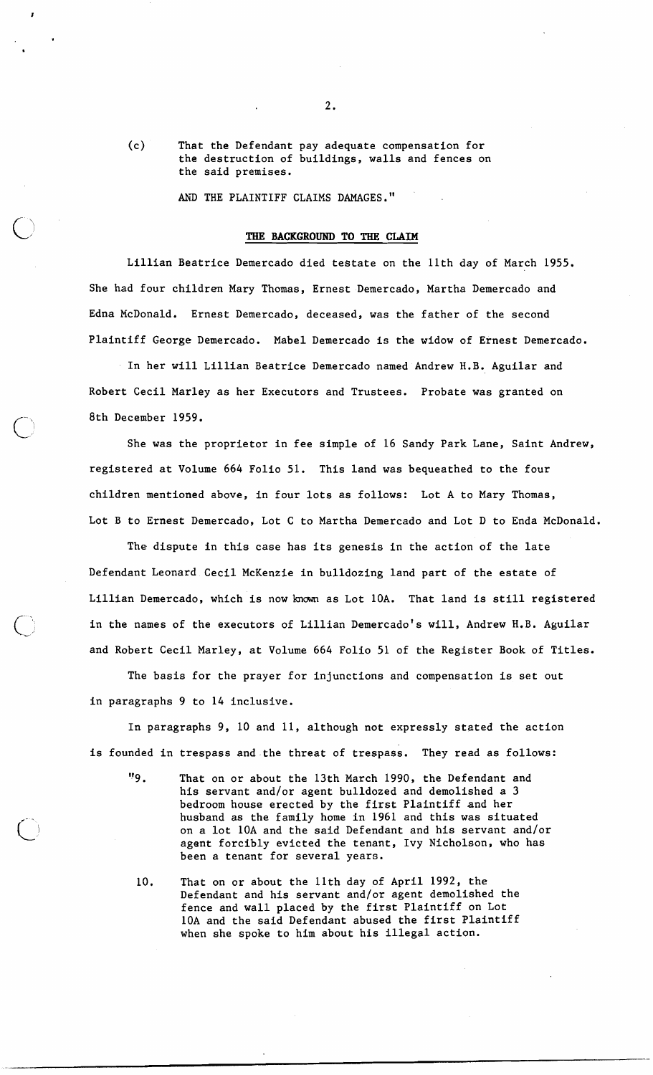(c> That the Defendant pay adequate compensation for the destruction of buildings, walls and fences on the said premises.

AKD THE PLAINTIFF CLAIMS DAMAGES."

#### THE BACKGROUND TO THE CLAIM

Lillian Beatrice Demercado died testate on the llth day of March 1955. She had four children Mary Thomas, Ernest Demercado, Martha Demercado and Edna McDonald. Ernest Demercado, deceased, was the father of the second Plaintiff George Demercado. Mabel Demercado is the widow of Ernest Demercado.

In her will Lillian Beatrice Demercado named Andrew H.B. Aguilar and Robert Cecil Marley as her Executors and Trustees. Probate was granted on 8th December 1959.

She was the proprietor in fee simple of 16 Sandy Park Lane, Saint Andrew, registered at Volume 664 Folio 51. This land was bequeathed to the four children mentioned above, in four lots as follows: Lot A to Mary Thomas, Lot B to Ernest Demercado, Lot C to Martha Demercado and Lot D to Enda McDonald.

The dispute in this case has its genesis in the action of the late Defendant Leonard Cecil McKenzie in bulldozing land part of the estate of Lillian Demercado, which is now known as Lot 10A. That land is still registered in the names of the executors of Lillian Demercado's will, Andrew H.B. Aguilar and Robert Cecil Marley, at Volume 664 Folio 51 of the Register Book of Titles.

The basis for the prayer for injunctions and compensation is set out in paragraphs 9 to 14 inclusive.

In paragraphs 9, 10 and 11, although not expressly stated the action is founded in trespass and.the threat of trespass. They read as follows:

- I'9 . That on or about the 13th March 1990, the Defendant and his servant and/or agent bulldozed and demolished a 3 bedroom house erected by the first Plaintiff and her husband as the family home in 1961 and this was situated on a lot 10A and the said Defendant and his servant and/or agent forcibly evicted the tenant, Ivy Nicholson, who has been a tenant for several years.
- 10. That on or about the llth day of April 1992, the Defendant and his servant and/or agent demolished the fence and wall placed by the first Plaintiff on Lot 10A and the said Defendant abused the first Plaintiff when she spoke to him about his illegal action.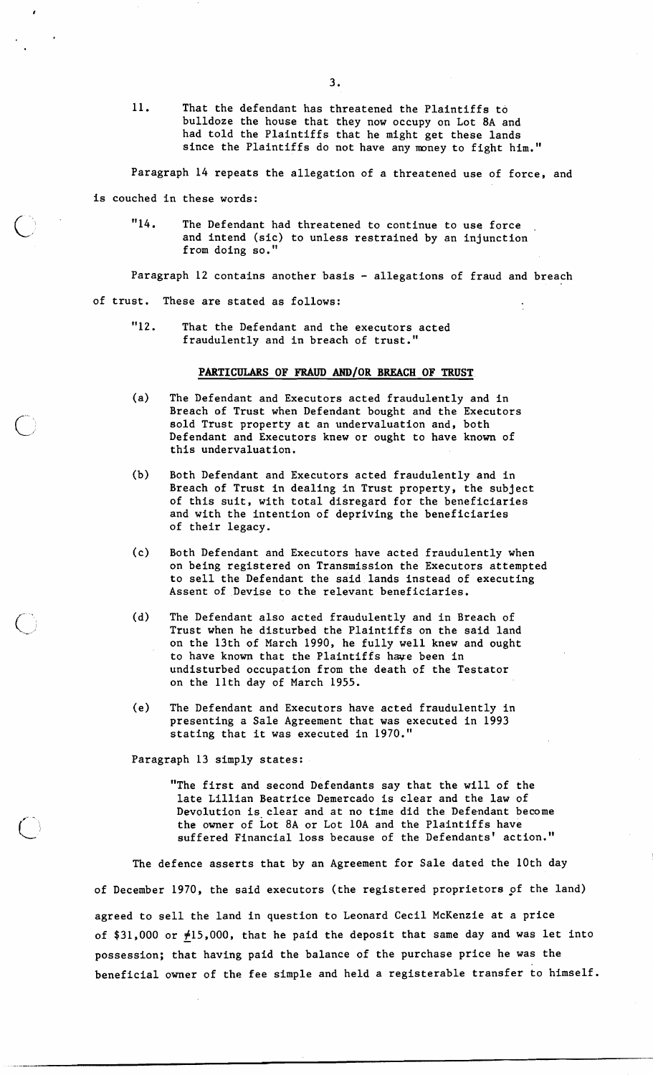11. That the defendant has threatened the Plaintiffs to bulldoze the house that they now occupy on Lot 8A and had told the Plaintiffs that he might get these lands since the Plaintiffs do not have any money to fight him."

Paragraph 14 repeats the allegation of a threatened use of force, and

is couched in these words:

"14. The Defendant had threatened to continue to use force and intend (sic) to unless restrained by an injunction from doing so.

Paragraph 12 contains another basis - allegations of fraud and breach

of trust. These are stated as follows:

"12. That the Defendant and the executors acted fraudulently and in breach of trust."

#### **PARTICULARS OF FRAUD AND/OR BREACH OF TRUST**

- (a) The Defendant and Executors acted fraudulently and in Breach of Trust when Defendant bought and the Executors sold Trust property at an undervaluation and, both Defendant and Executors knew or ought to have known of this undervaluation.
- (b) Both Defendant and Executors acted fraudulently and in Breach of Trust in dealing in Trust property, the subject of this suit, with total disregard for the beneficiaries and with the intention of depriving the beneficiaries of their legacy.
- (c) Both Defendant and Executors have acted fraudulently when on being registered on Transmission the Executors attempted to sell the Defendant the said lands instead of executing Assent of Devise to the relevant beneficiaries.
- (d) The Defendant also acted fraudulently and in Breach of Trust when he disturbed the Plaintiffs on the said land on the 13th of March 1990, he fully well knew and ought to have known that the Plaintiffs have been in undisturbed occupation from the death of the Testator on the 11th day of March 1955.
- (e) The Defendant and Executors have acted fraudulently in presenting a Sale Agreement that was executed in 1993 stating that it was executed in 1970."

Paragraph 13 simply states:

"The first and second Defendants say that the will of the late Lillian Beatrice Demercado is clear and the law of Devolution is clear and at no time did the Defendant become the owner of Lot 8A or Lot 10A and the Plaintiffs have suffered Financial loss because of the Defendants' action."

The defence asserts that by an Agreement for Sale dated the 10th day of December 1970, the said executors (the registered proprietors pf the land) agreed to sell the land in question to Leonard Cecil McKenzie at a price of \$31,000 or  $\neq$ 15,000, that he paid the deposit that same day and was let into possession; that having paid the balance of the purchase price he was the beneficial owner of the fee simple and held a registerable transfer to himself.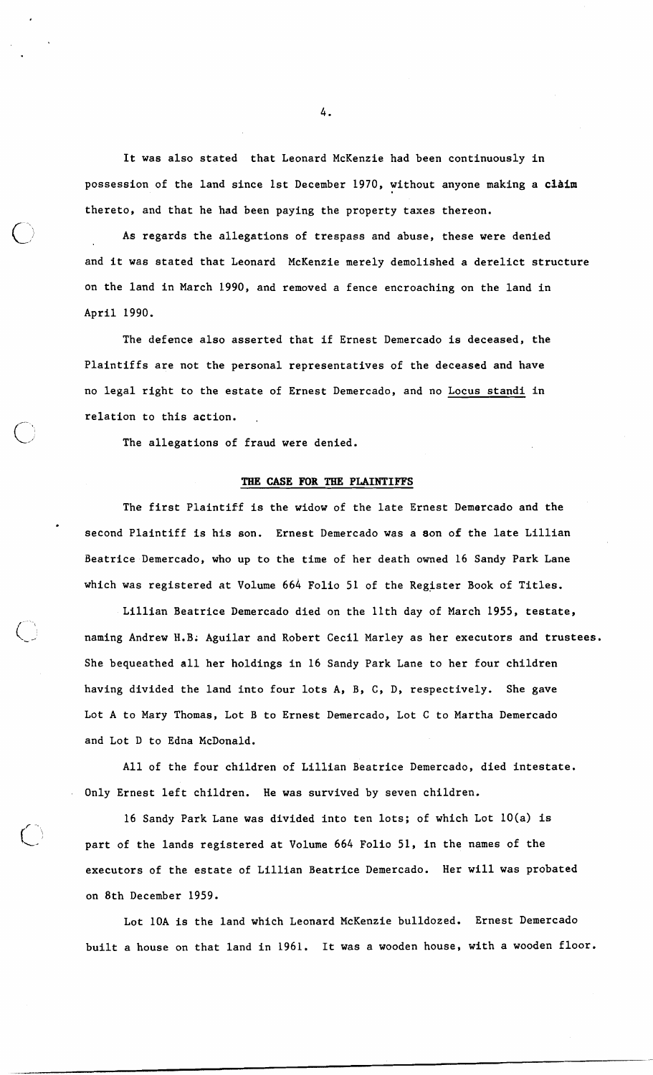It was also stated that Leonard McKenzie had been continuously in possession of the land since 1st December 1970, without anyone making a claim thereto, and that he had been paying the property taxes thereon.<br>As regards the allegations of trespass and abuse, these were denied

and it was stated that Leonard McKenzie merely demolished a derelict structure On the land in March 1990, and removed a fence encroaching on the land in April 1990.

The defence also asserted that if Ernest Demercado is deceased, the Plaintiffs are not the personal representatives of the deceased and have no legal right to the estate of Ernest Demercado, and no Locus standi in relation to this action.

The allegations of fraud were denied.

# **TBE CASE FOR TEE PLAINTIFFS**

The first Plaintiff is the widow of the late Ernest Demercado and the second Plaintiff is his son. Ernest Demercado was a aon of the late Lillian Beatrice Demercado, who up to the time of her death owned 16 Sandy Park Lane which was registered at Volume 664 Folio 51 of the Register Book of Titles.

Lillian Beatrice Demercado died on the 11th day of March 1955, testate, naming Andrew H.B; Aguilar and Robert Cecil Marley as her executors and trustees. She bequeathed all her holdings in 16 Sandy Park Lane to her four children having divided the land into four lots A, B, C, D, respectively. She gave Lot A to Mary Thomas, Lot B to Ernest Demercado, Lot C to Martha Demercado and Lot D to Edna KcDonald.

All of the four children of Lillian Beatrice Demercado, died intestate. Only Ernest left children. He was survived by seven children.

16 Sandy Park Lane was divided into ten lots; of which Lot 10(a) is part of the lands registered at Volume 664 Folio 51, in the names of the executors of the estate of Lillian Beatrice Demercado. Her will was probated on 8th December 1959.

Lot 10A is the land which Leonard McKenzie bulldozed. Ernest Demercado built a house on that land in 1961. It was a wooden house, with a wooden floor.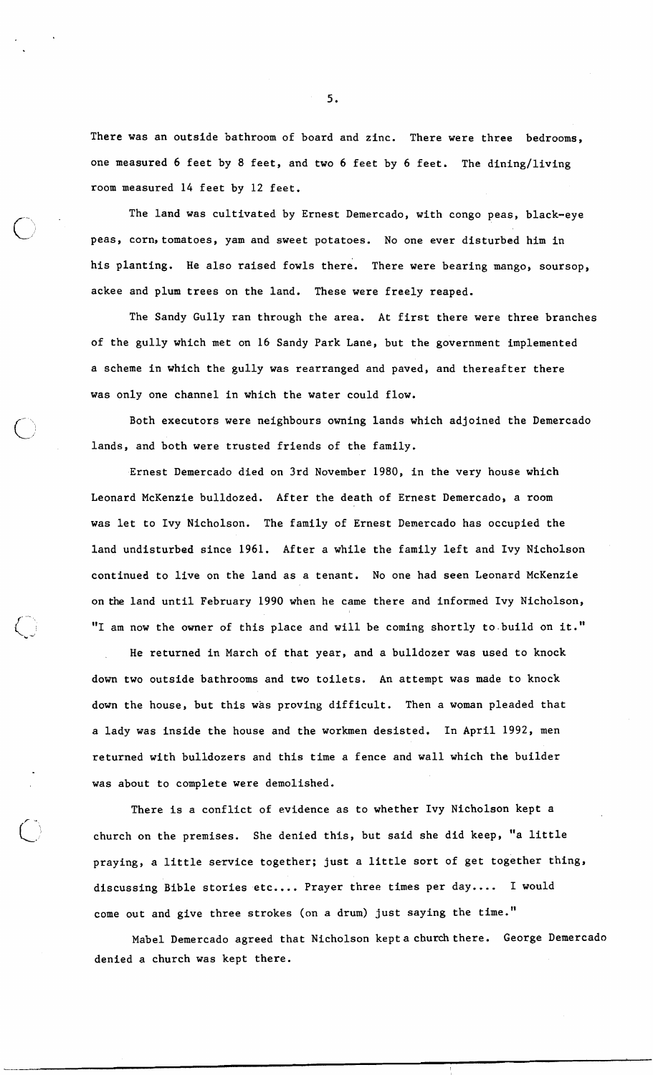There was an outside bathroom of board and zinc. There were three bedrooms, one measured 6 feet by 8 feet, and two 6 feet by 6 feet. The dining/living room measured 14 feet by 12 feet.

The land was cultivated by Ernest Demercado, with congo peas, black-eye peas, corn, tomatoes, yam and sweet potatoes. No one ever disturbed him in his planting. He also raised fowls there. There were bearing mango, soursop, ackee and plum trees on the land. These were freely reaped.

The Sandy Gully ran through the area. At first there were three branches of the gully which met on 16 Sandy Park Lane, but the government implemented a scheme in which the gully was rearranged and paved, and thereafter there was only one channel in which the water could flow.

Both executors were neighbours owning lands which adjoined the Demercado lands, and both were trusted friends of the family.

Ernest Demercado died on 3rd November 1980, in the very house which Leonard McKenzie bulldozed. After the death of Ernest Demercado, a room was let to Ivy Nicholson. The family of Ernest Demercado has occupied the land undisturbed since 1961. After a while the family left and Ivy Nicholson continued to live on the land as a tenant. No one had seen Leonard McKenzie on the land until February 1990 when he came there and informed Ivy Nicholson, "I am now the owner of this place and will be coming shortly to build on it."

He returned in March of that year, and a bulldozer was used to knock down two outside bathrooms and two toilets. An attempt was made to knock down the house, but this was proving difficult. Then a woman pleaded that a lady was inside the house and the workmen desisted. In April 1992, men returned with bulldozers and this time a fence and wall which the builder was about to complete were demolished.

There is a conflict of evidence as to whether Ivy Nicholson kept a church on the premises. She denied this, but said she did keep, "a little praying, a little service together; just a little sort of get together thing, discussing Bible stories etc.... Prayer three times per day .... I would come out and give three strokes (on a drum) just saying the time."

Mabel Demercado agreed that Nicholson kept a church there. George Demercado denied a church was kept there.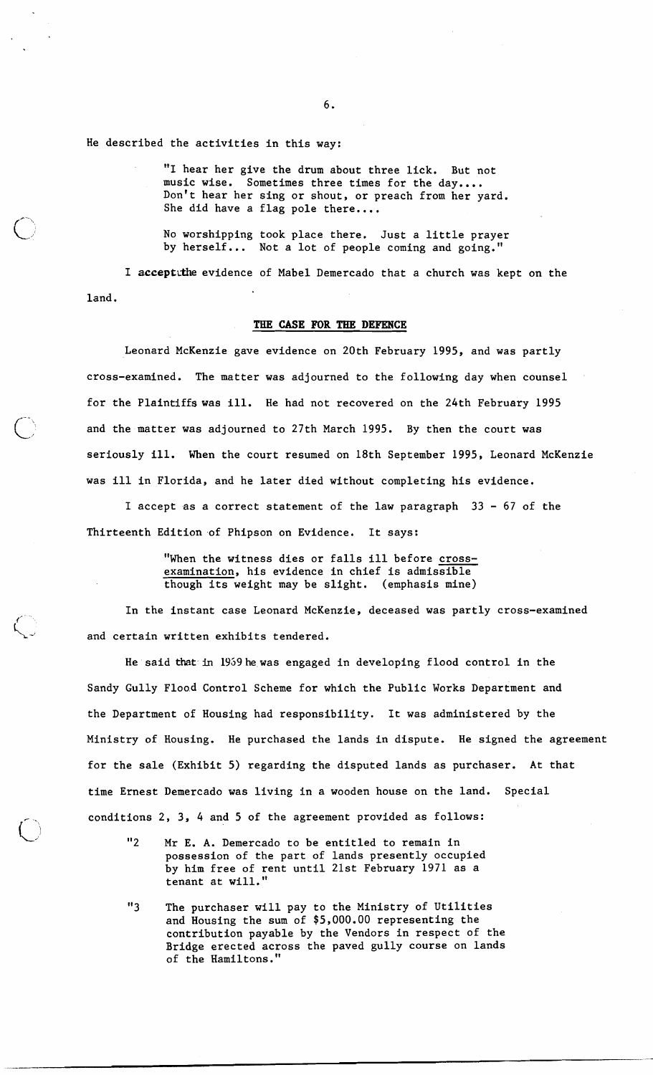He described the activities in this way:

"I hear her give the drum about three lick. But not music wise. Sometimes three times for the day.... Don't hear her sing or shout, or preach from her yard. She did have a flag pole there....

No worshipping took place there. Just a little prayer by herself... Not a lot of people coming and going."

I acceptithe evidence of Mabel Demercado that a church was kept on the land.

# **TBE CASE FOR THE DEFENCE**

Leonard McKenzie gave evidence on 20th February 1995, and was partly cross-examined. The matter was adjourned to the following day when counsel for the Plaintiffswas ill. He had not recovered on the 24th February 1995 and the matter was adjourned to 27th March 1995. By then the court was seriously ill. When the court resumed on 18th September 1995, Leonard McKenzie was ill in Florida, and he later died without completing his evidence.

I accept as a correct statement of the law paragraph 33 - 67 of the Thirteenth Edition of Phipson on Evidence. It says:

> "When the witness dies or falls ill before crossexamination, his evidence in chief is admissible<br>though its weight may be slight. (emphasis mine) though its weight may be slight.

In the instant case Leonard McKenzie, deceased was partly cross-examined and certain written exhibits tendered.

He said that in 1959hewas engaged in developing flood control in the Sandy Gully Flood Control Scheme for which the Public Works Department and the Department of Housing had responsibility. It was administered by the Ministry of Housing. He purchased the lands in dispute. He signed the agreement for the sale (Exhibit 5) regarding the disputed lands as purchaser. At that time Ernest Demercado was living in a wooden house on the land. Special conditions 2, 3, 4 and 5 of the agreement provided as follows:

"2 Mr E. A. Demercado to be entitled to remain in possession of the part of lands presently occupied by him free of rent until 21st February 1971 as a tenant at will."

 $(\ )$ 

"3 The purchaser will pay to the Ministry of Utilities and Housing the sum of \$5,000.00 representing the contribution payable by the Vendors in respect of the Bridge erected across the paved gully course on lands of the Hamiltons."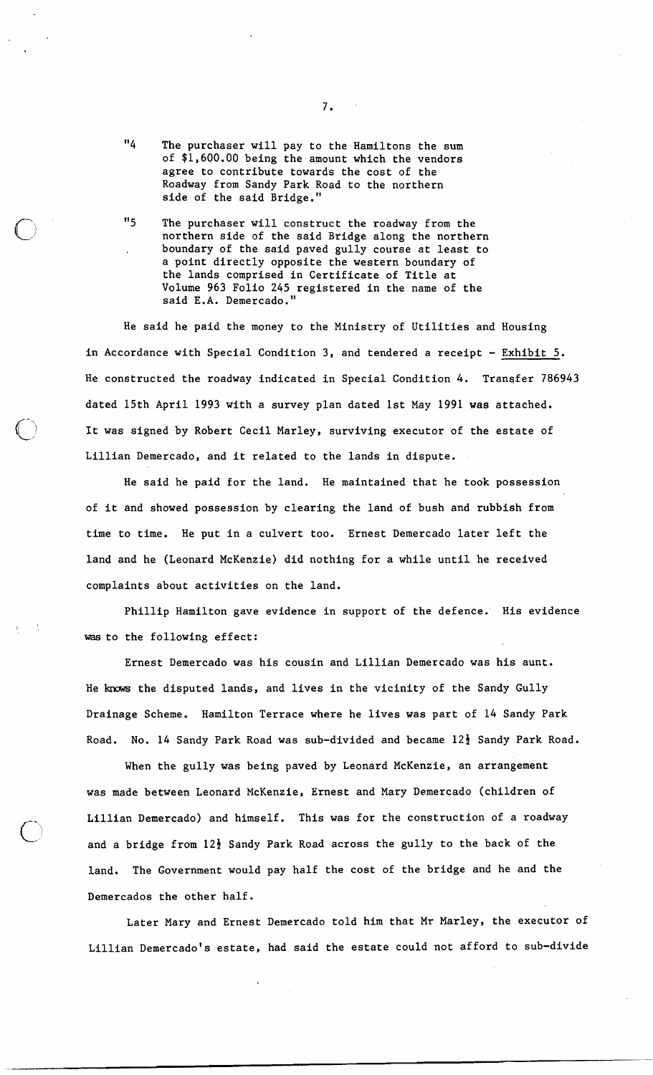- "4 The purchaser will pay to the Hamiltons the sum of \$1,600.00 being the amount which the vendors agree to contribute towards the cost of the Roadway from Sandy Park Road to the northern side of the said Bridge."
- "5 The purchaser will construct the roadway from the northern side of the said Bridge along the northern boundary of the said paved gully course at least to a point directly opposite the western boundary of the lands comprised in Certificate of Title at Volume 963 Folio 245 registered in the name of the said E.A. Demercado."

He said he paid the money to the Ministry of Utilities and Housing in Accordance with Special Condition 3, and tendered a receipt - Exhibit 5. He constructed the roadway indicated in Special Condition 4. Transfer 786943 dated 15th April 1993 with a survey plan dated 1st May 1991 was attached.<br>It was signed by Robert Cecil Marley, surviving executor of the estate of Lillian Demercado, and it related to the lands in dispute.

He said he paid for the land. He maintained that he took possession of it and showed possession by clearing the land of bush and rubbish from time to time. He put in a culvert too. Ernest Demercado later left the land and he (Leonard McKenzie) did nothing for a while until he received complaints about activities on the land.

Phillip Hamilton gave evidence in support of the defence. His evidence was to the following effect:

 $\epsilon$  ,  $\lambda$ 

Ernest Demercado was his cousin and Lillian Demercado was his aunt. He knows the disputed lands, and lives in the vicinity of the Sandy Gully Drainage Scheme. Hamilton Terrace where he lives was part of 14 Sandy Park Road. No. 14 Sandy Park Road was sub-divided and became 12<sup>}</sup> Sandy Park Road.

When the gully was being paved by Leonard McKenzie, an arrangement was made between Leonard McKenzie, Ernest and Mary Demercado (children of Lillian Demercado) and himself. This was for the construction of a roadway and a bridge from  $12\frac{1}{2}$  Sandy Park Road across the gully to the back of the land. The Government would pay half the cost of the bridge and he and the Demercados the other half.

Later Mary and Ernest Demercado told him that Mr Marley, the executor of Lillian Demercado's estate, had said the estate could not afford to sub-divide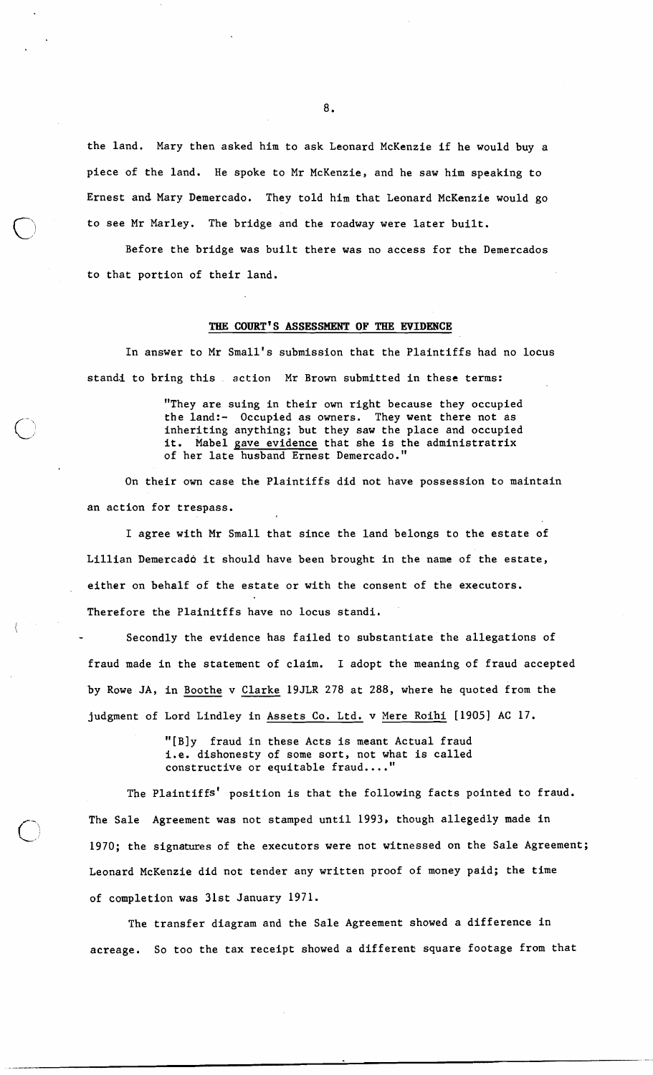the land. Mary then asked him to ask Leonard McKenzie if he would buy a piece of the land. He spoke to Mr McKenzie, and he saw him speaking to Ernest and Mary Demercado. They told him that Leonard McKenzie would go to see Mr Marley. The bridge and the roadway were later built.

Before the bridge was built there was no access for the Demercados to that portion of their land.

#### THE COURT'S ASSESSMENT OF THE EVIDENCE

In answer to Mr Small's submission that the Plaintiffs had no locus standi to bring this action Mr Brown submitted in these terms:

> "They are suing in their own right because they occupied the land:- Occupied as owners. They went there not as inheriting anything; but they saw the place and occupied it. Mabel gave evidence that she is the administratrix of her late husband Ernest Demercado."

On their own case the Plaintiffs did not have possession to maintain an action for trespass.

I agree with Mr Small that since the land belongs to the estate of Lillian Demercado it should have been brought in the name of the estate, either on behalf of the estate or with the consent of the executors. Therefore the Plainitffs have no locus standi.

Secondly the evidence has failed to substantiate the allegations of fraud made in the statement of claim. I adopt the meaning of fraud accepted by Rowe JA, in Boothe v Clarke 19JLR 278 at 288, where he quoted from the judgment of Lord Lindley in Assets Co. Ltd. v Mere Roihi [1905] AC 17.

> "[Bly fraud in these Acts is meant Actual fraud i.e. dishonesty of some sort, not what is called constructive or equitable fraud...."

 $\bigcirc$ 

 $\bigcirc$ 

The plaintiffs' position is that the following facts pointed to fraud. The Sale Agreement was not stamped until 1993, though allegedly made in 1970; the signatures of the executors were not witnessed on the Sale Agreement; Leonard McKenzie did not tender any written proof of money paid; the time of completion was 31st January 1971.

The transfer diagram and the Sale Agreement showed a difference in acreage. So too the tax receipt showed a different square footage from that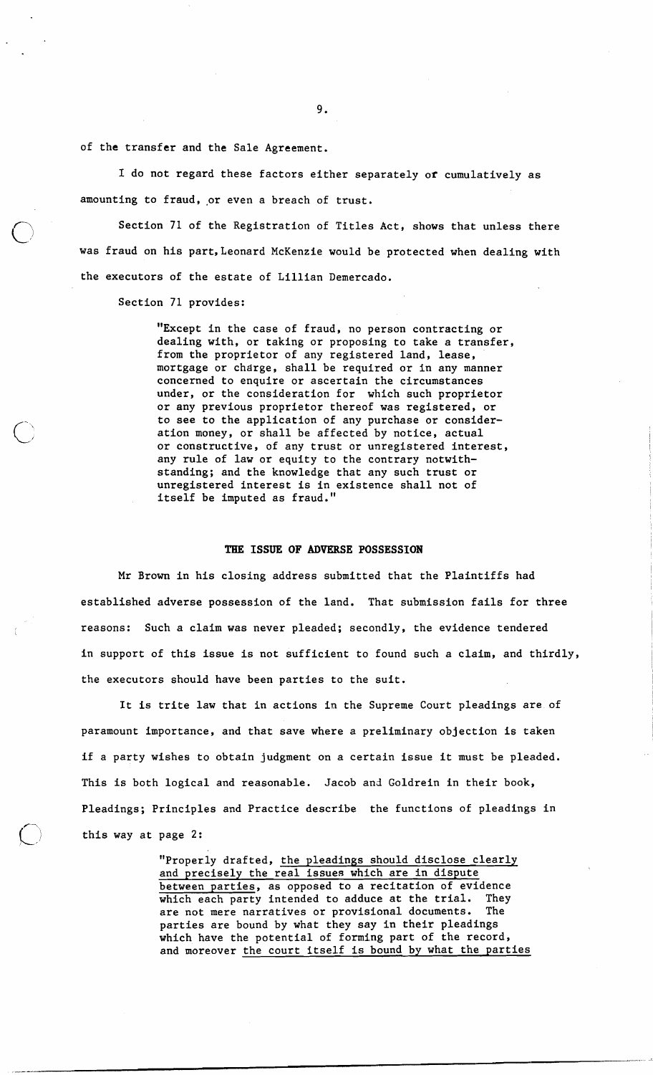of the transfer and the Sale Agreement.

I do not regard these factors either separately or cumulatively as amounting to fraud, or even a breach of trust.

Section 71 of the Registration of Titles Act, shows that unless there was fraud on his part, Leonard McKenzie would be protected when dealing with the executors of the estate of Lillian Demercado.

Section 71 provides:

"Except in the case of fraud, no person contracting or dealing with, or taking or proposing to take a transfer, from the proprietor of any registered land, lease, mortgage or chdrge, shall be required or in any manner concerned to enquire or ascertain the circumstances under, or the consideration for which such proprietor or any previous proprietor thereof was registered, or to see to the application of any purchase or consideration money, or shall be affected by notice, actual or constructive, of any trust or unregistered interest, any rule of law or equity to the contrary notwithstanding; and the knowledge that any such trust or unregistered interest is in existence shall not of itself be imputed as fraud."

### THE ISSUE OF ADVERSE POSSESSION

Mr Brown in his closing address submitted that the Plaintiffs had established adverse possession of the land. That submission fails for three reasons: Such a claim was never pleaded; secondly, the evidence tendered in support of this issue is not sufficient to found such a claim, and thirdly, the executors should have been parties to the suit.

It is trite law that in actions in the Supreme Court pleadings are of paramount importance, and that save where a preliminary objection is taken if a party wishes to obtain judgment on a certain issue it must be pleaded. This is both logical and reasonable. Jacob and Goldrein in their book, Pleadings; Principles and Practice describe the functions of pleadings in this way at page 2:

> "Properly drafted, the pleadings should disclose clearly and precisely the real issues which are in dispute between parties, as opposed to a recitation of evidence which each party intended to adduce at the trial. They<br>are not mere narratives or provisional documents. The are not mere narratives or provisional documents. parties are bound by what they say in their pleadings which have the potential of forming part of the record, and moreover the court itself is bound by what the parties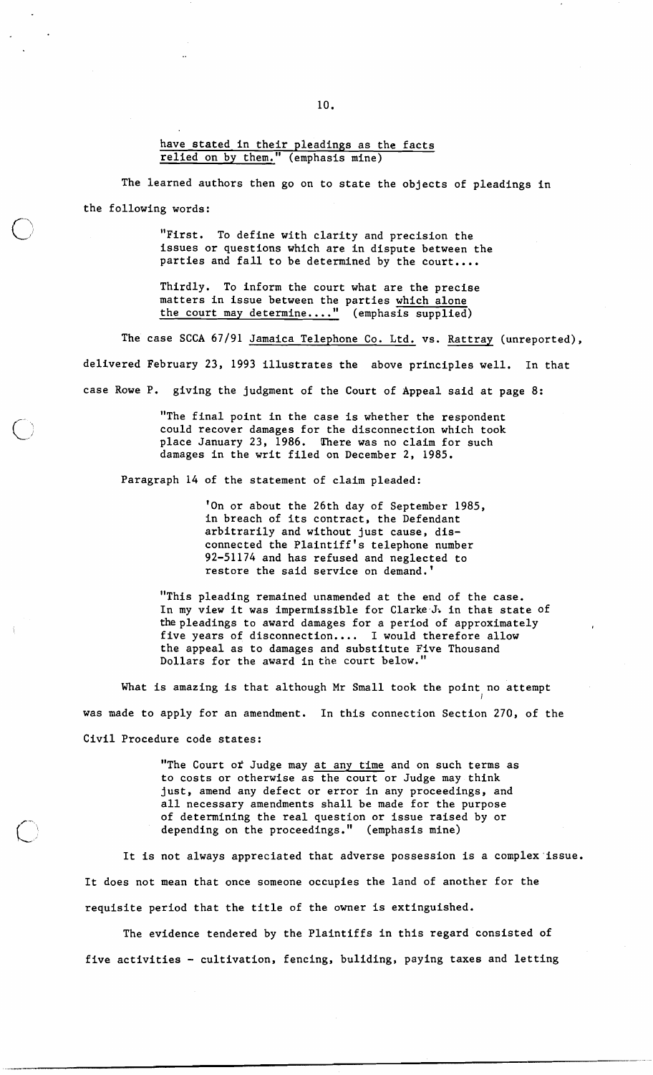have stated in their pleadings as the facts relied on by them." (emphasis mine)

The learned authors then go on to state the objects of pleadings in the following words:

> "First. To define with clarity and precision the issues or questions which are in dispute between the parties and fall to be determined by the court....

Thirdly. To inform the court what are the precise matters in issue between the parties which alone the court may determine...." (emphasis supplied)

The case SCCA 67/91 Jamaica Telephone Co. Ltd. vs. Rattray (unreported), delivered February 23, 1993 illustrates the above principles well. In that case Rowe P. giving the judgment of the Court of Appeal said at page 8:

> "The final point in the case is whether the respondent could recover damages for the disconnection which took place January 23, 1986. There was no claim for such damages in the writ filed on December 2, 1985.

Paragraph 14 of the statement of claim pleaded:

'On or about the 26th day of September 1985, in breach of its contract, the Defendant arbitrarily and without just cause, disconnected the plaintiff's telephone number 92-51174 and has refused and neglected to restore the said service on demand. '

**<sup>11</sup>**This pleading remained unamended at the end of the case. In my view it was impermissible for Clarke J. in that state of the pleadings to award damages for a period of approximately five years of disconnection.... I would therefore allow the appeal as to damages and substitute Five Thousand Dollars for the award in the court below."

What is amazing is that although Mr Small took the point no attempt was made to apply for an amendment. In this connection Section 270, of the Civil Procedure code states:

> "The Court of Judge may at any time and on such terms as to costs or otherwise as the court or Judge may think just, amend any defect or error in any proceedings, and all necessary amendments shall be made for the purpose of determining the real question or issue raised by or depending on the proceedings." (emphasis mine)

It is not always appreciated that adverse possession is a complex'issue. It does not mean that once someone occupies the land of another for the requisite period that the title of the owner is extinguished.

The evidence tendered by the Plaintiffs in this regard consisted of five activities - cultivation, fencing, buliding, paying taxes and letting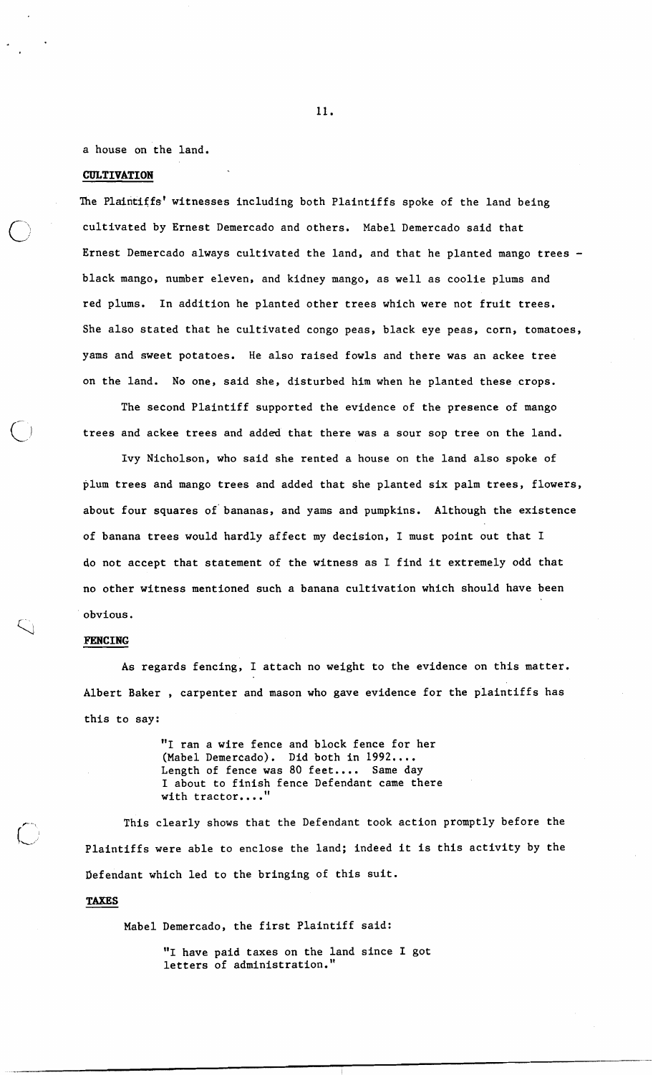a house on the land.

#### **CULTIVATION**

The Plaintiffs' witnesses including both Plaintiffs spoke of the land being cultivated by Ernest Demercado and others. Mabel Demercado said that Ernest Demercado always cultivated the land, and that he planted mango trees black mango, number eleven, and kidney mango, as well as coolie plums and red plums. In addition he planted other trees which were not fruit trees. She also stated that he cultivated congo peas, black eye peas, corn, tomatoes, yams and sweet potatoes. He also raised fowls and there was an ackee tree on the land. No one, said she, disturbed him when he planted these crops.

The second Plaintiff supported the evidence of the presence of mango trees and ackee trees and added that there was a sour sop tree on the land.

Ivy Nicholson, who said she rented a house on the land also spoke of plum trees and mango trees and added that she planted six palm trees, flowers, about four squares of' bananas, and yams and pumpkins. Although the existence of banana trees would hardly affect my decision, I must point out that I do not accept that statement of the witness as I find it extremely odd that no other witness mentioned such a banana cultivation which should have been obvious.

#### **PENCING**

\

As regards fencing, I attach no weight to the evidence on this matter. Albert Baker , carpenter and mason who gave evidence for the plaintiffs has this to say:

> "I ran a wire fence and block fence for her (Mabel Demercado). Did both in **1992....**  Length of fence was 80 feet.... Same day I about to finish fence Defendant came there with tractor....'

This clearly shows that the Defendant took action promptly before the Plaintiffs were able to enclose the land; indeed it is this activity by the Defendant which led to the bringing of this suit.

# **TAXES**

Mabel Demercado, the first Plaintiff said:

**"I** have paid taxes on the land since I got letters of administration."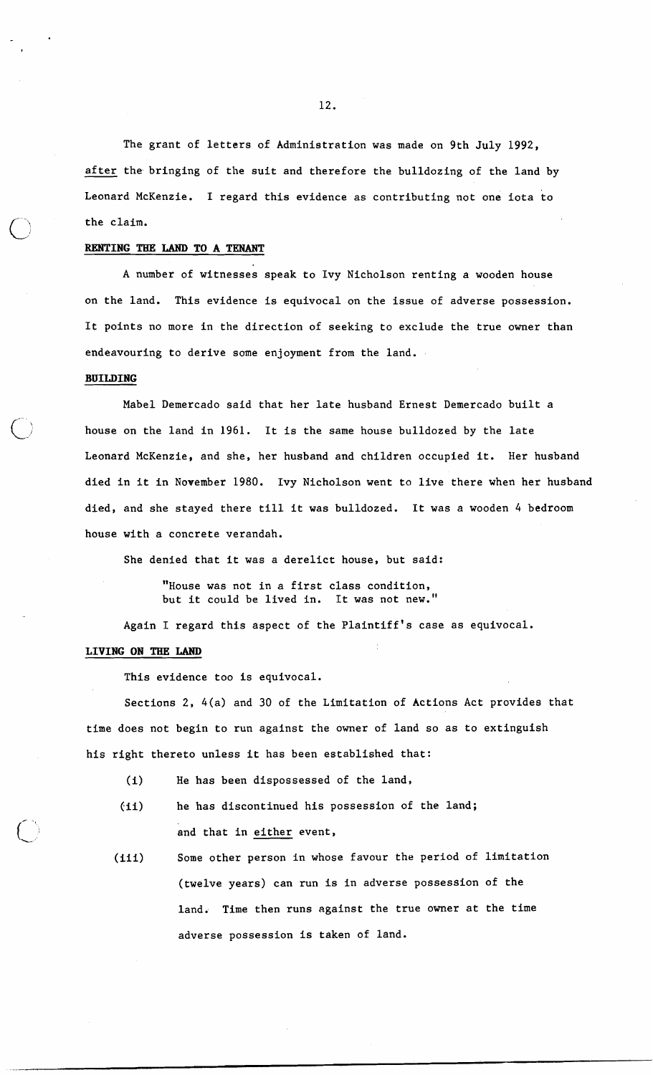The grant of letters of Administration was made on 9th July 1992, after the bringing of the suit and therefore the bulldozing of the land by Leonard McKenzie. I regard this evidence as contributing not one iota to the claim.

# **RENTING TBE LAND TO A TENANT**

A number of witnesses speak to Ivy Nicholson renting a wooden house on the land. This evidence is equivocal on the issue of adverse possession. It points no more in the direction of seeking to exclude the true owner than endeavouring to derive some enjoyment from the land.

## **BUILDING**

Mabel Demercado said that her late husband Ernest Demercado built a house on the land in 1961. It is the same house bulldozed by the late Leonard McKenzie, and she, her husband and children occupied it. Her husband died in it in November 1980. Ivy Nicholson went to live there when her husband died, and she stayed there till it was bulldozed. It was a wooden 4 bedroom house with a concrete verandah.

She denied that it was a derelict house, but said:

"House was not in a first class condition, but it could be lived in. It was not new."

Again I regard this aspect of the plaintiff's case as equivocal.

# LIVING ON THE LAND

This evidence too is equivocal.

Sections 2, 4(a) and 30 of the Limitation of Actions Act provides that time does not begin to run against the owner of land so as to extinguish his right thereto unless it has been established that:

- (i) He has been dispossessed of the land,
- (ii) he has discontinued his possession of the land; and that in either event,
- (iii) Some other person in whose favour the period of limitation (twelve years) can run is in adverse possession of the land. Time then runs against the true owner at the time adverse possession is taken of land.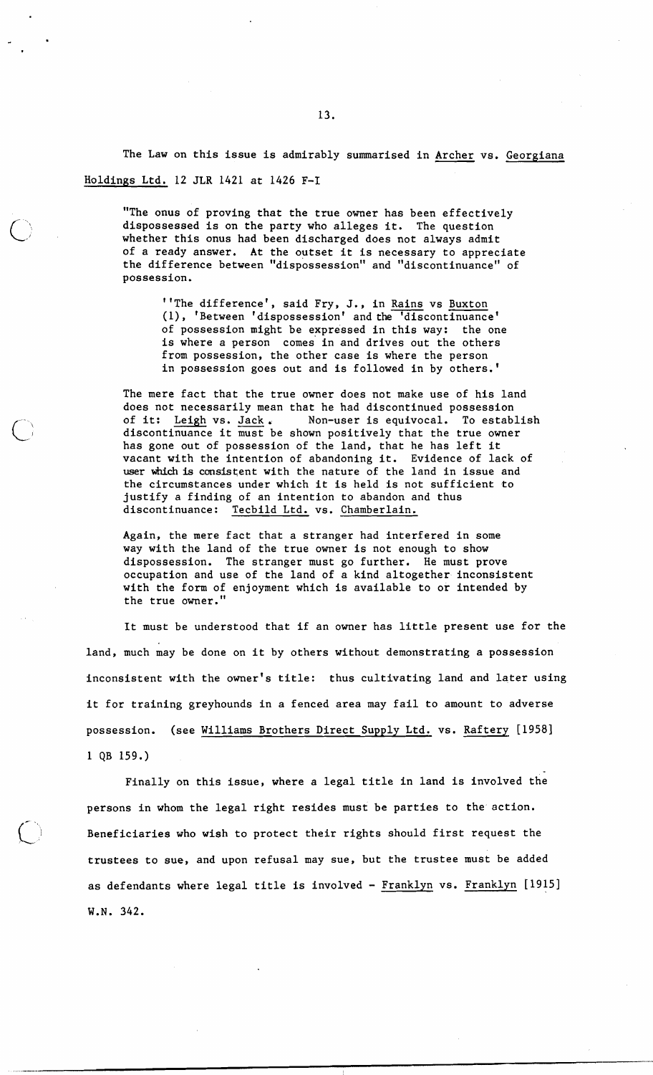The Law on this issue is admirably summarised in Archer vs. Georgiana Holdings Ltd. *12* JLR *1421* at *1426* F-I

"The onus of proving that the true owner has been effectively dispossessed is on the party who alleges it. The question whether this onus had been discharged does not always admit of a ready answer. At the outset it is necessary to appreciate the difference between "dispossession" and "discontinuance" of possession.

''The difference', said Fry, J., in Rains vs Buxton (I), 'Between 'dispossession' and the 'discontinuance' of possession might be expressed in this way: the one is where a person comes' in and drives out the others from possession, the other case is where the person in possession goes out and is followed in by others.'

The mere fact that the true owner does not make use of his land does not necessarily mean that he had discontinued possession<br>of it: Leigh vs. Jack. Non-user is equivocal. To estable from possession, the other case is where the person<br>in possession goes out and is followed in by others.'<br>The mere fact that the true owner does not make use of his land<br>does not necessarily mean that he had discontinued p has gone out of possession of the land, that he has left it vacant with the intention of abandoning it. Evidence of lack of user which is consistent with the nature of the land in issue and the circumstances under which it is held is not sufficient to justify a finding of an intention to abandon and thus discontinuance: Tecbild Ltd. vs. Chamberlain.

Again, the mere fact that a stranger had interfered in some way with the land of the true owner is not enough to show dispossession. The stranger must go further. He must prove occupation and use of the land of a kind altogether-inconsistent with the form of enjoyment which is available to or intended by the true owner."

It must be understood that if an owner has little present use for the land, much may be done on it by others without demonstrating a possession inconsistent with the owner's title: thus cultivating land and later using it for training greyhounds in a fenced area may fail to amount to adverse possession. (see Williams Brothers Direct Supply Ltd. vs. Raftery [1958]  $1$  QB 159.)

Finally on this issue, where a legal title in land is involved the persons in whom the legal right resides must be parties to the action. Beneficiaries who wish to protect their rights should first request the trustees to sue, and upon refusal may sue, but the trustee must be added as defendants where legal title is involved - Franklyn vs. Franklyn [1915] W.N. *342.*